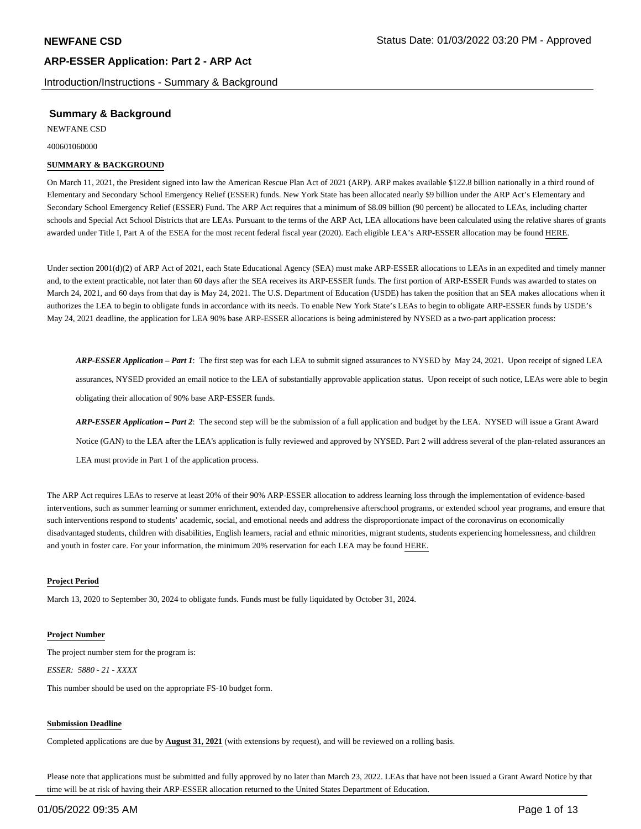Introduction/Instructions - Summary & Background

# **Summary & Background**

NEWFANE CSD

400601060000

#### **SUMMARY & BACKGROUND**

On March 11, 2021, the President signed into law the American Rescue Plan Act of 2021 (ARP). ARP makes available \$122.8 billion nationally in a third round of Elementary and Secondary School Emergency Relief (ESSER) funds. New York State has been allocated nearly \$9 billion under the ARP Act's Elementary and Secondary School Emergency Relief (ESSER) Fund. The ARP Act requires that a minimum of \$8.09 billion (90 percent) be allocated to LEAs, including charter schools and Special Act School Districts that are LEAs. Pursuant to the terms of the ARP Act, LEA allocations have been calculated using the relative shares of grants awarded under Title I, Part A of the ESEA for the most recent federal fiscal year (2020). Each eligible LEA's ARP-ESSER allocation may be found HERE.

Under section 2001(d)(2) of ARP Act of 2021, each State Educational Agency (SEA) must make ARP-ESSER allocations to LEAs in an expedited and timely manner and, to the extent practicable, not later than 60 days after the SEA receives its ARP-ESSER funds. The first portion of ARP-ESSER Funds was awarded to states on March 24, 2021, and 60 days from that day is May 24, 2021. The U.S. Department of Education (USDE) has taken the position that an SEA makes allocations when it authorizes the LEA to begin to obligate funds in accordance with its needs. To enable New York State's LEAs to begin to obligate ARP-ESSER funds by USDE's May 24, 2021 deadline, the application for LEA 90% base ARP-ESSER allocations is being administered by NYSED as a two-part application process:

*ARP-ESSER Application – Part 1*: The first step was for each LEA to submit signed assurances to NYSED by May 24, 2021. Upon receipt of signed LEA assurances, NYSED provided an email notice to the LEA of substantially approvable application status. Upon receipt of such notice, LEAs were able to begin obligating their allocation of 90% base ARP-ESSER funds.

*ARP-ESSER Application – Part 2*: The second step will be the submission of a full application and budget by the LEA. NYSED will issue a Grant Award Notice (GAN) to the LEA after the LEA's application is fully reviewed and approved by NYSED. Part 2 will address several of the plan-related assurances an LEA must provide in Part 1 of the application process.

The ARP Act requires LEAs to reserve at least 20% of their 90% ARP-ESSER allocation to address learning loss through the implementation of evidence-based interventions, such as summer learning or summer enrichment, extended day, comprehensive afterschool programs, or extended school year programs, and ensure that such interventions respond to students' academic, social, and emotional needs and address the disproportionate impact of the coronavirus on economically disadvantaged students, children with disabilities, English learners, racial and ethnic minorities, migrant students, students experiencing homelessness, and children and youth in foster care. For your information, the minimum 20% reservation for each LEA may be found HERE.

#### **Project Period**

March 13, 2020 to September 30, 2024 to obligate funds. Funds must be fully liquidated by October 31, 2024.

#### **Project Number**

The project number stem for the program is: *ESSER: 5880 - 21 - XXXX*

This number should be used on the appropriate FS-10 budget form.

#### **Submission Deadline**

Completed applications are due by **August 31, 2021** (with extensions by request), and will be reviewed on a rolling basis.

Please note that applications must be submitted and fully approved by no later than March 23, 2022. LEAs that have not been issued a Grant Award Notice by that time will be at risk of having their ARP-ESSER allocation returned to the United States Department of Education.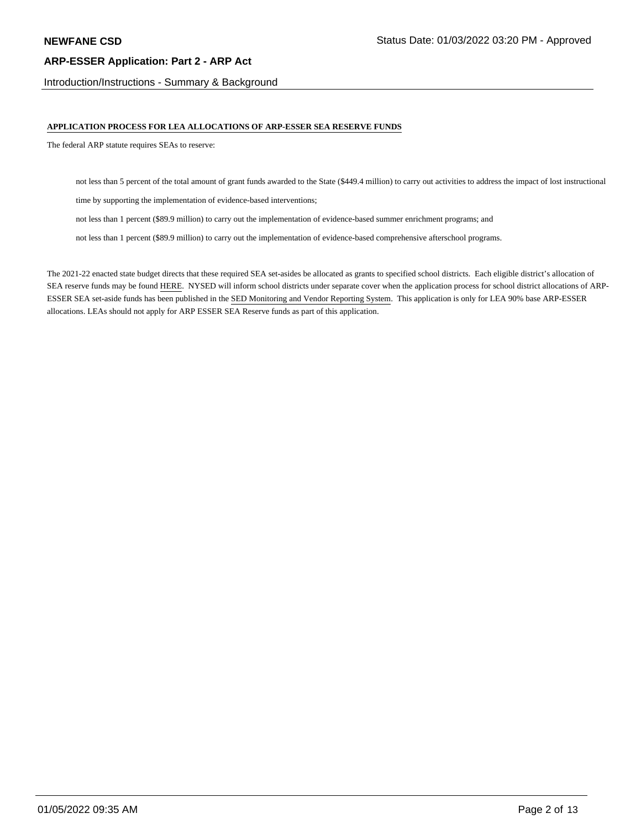Introduction/Instructions - Summary & Background

#### **APPLICATION PROCESS FOR LEA ALLOCATIONS OF ARP-ESSER SEA RESERVE FUNDS**

The federal ARP statute requires SEAs to reserve:

not less than 5 percent of the total amount of grant funds awarded to the State (\$449.4 million) to carry out activities to address the impact of lost instructional

time by supporting the implementation of evidence-based interventions;

not less than 1 percent (\$89.9 million) to carry out the implementation of evidence-based summer enrichment programs; and

not less than 1 percent (\$89.9 million) to carry out the implementation of evidence-based comprehensive afterschool programs.

The 2021-22 enacted state budget directs that these required SEA set-asides be allocated as grants to specified school districts. Each eligible district's allocation of SEA reserve funds may be found HERE. NYSED will inform school districts under separate cover when the application process for school district allocations of ARP-ESSER SEA set-aside funds has been published in the SED Monitoring and Vendor Reporting System. This application is only for LEA 90% base ARP-ESSER allocations. LEAs should not apply for ARP ESSER SEA Reserve funds as part of this application.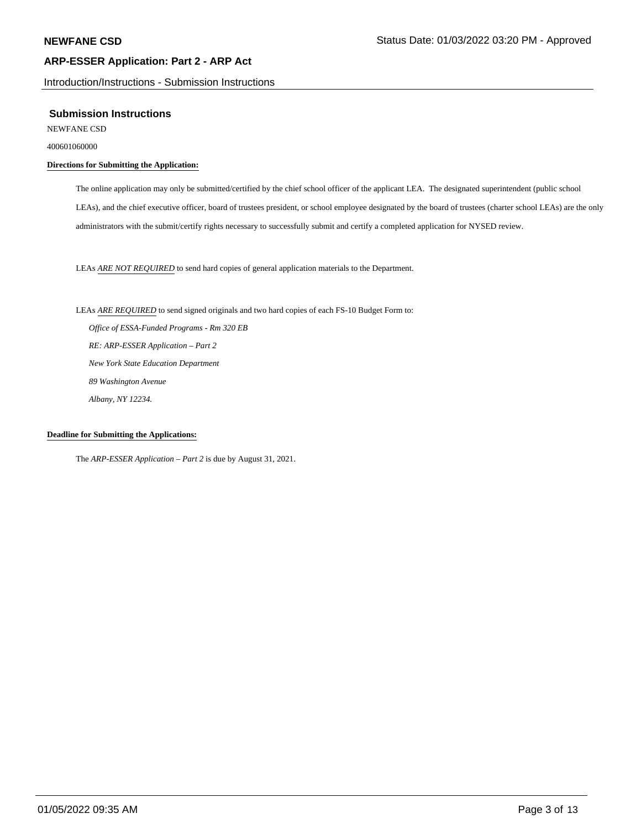Introduction/Instructions - Submission Instructions

#### **Submission Instructions**

NEWFANE CSD

400601060000

## **Directions for Submitting the Application:**

The online application may only be submitted/certified by the chief school officer of the applicant LEA. The designated superintendent (public school LEAs), and the chief executive officer, board of trustees president, or school employee designated by the board of trustees (charter school LEAs) are the only administrators with the submit/certify rights necessary to successfully submit and certify a completed application for NYSED review.

LEAs *ARE NOT REQUIRED* to send hard copies of general application materials to the Department.

LEAs *ARE REQUIRED* to send signed originals and two hard copies of each FS-10 Budget Form to:  *Office of ESSA-Funded Programs - Rm 320 EB RE: ARP-ESSER Application – Part 2 New York State Education Department 89 Washington Avenue Albany, NY 12234.*

#### **Deadline for Submitting the Applications:**

The *ARP-ESSER Application – Part 2* is due by August 31, 2021.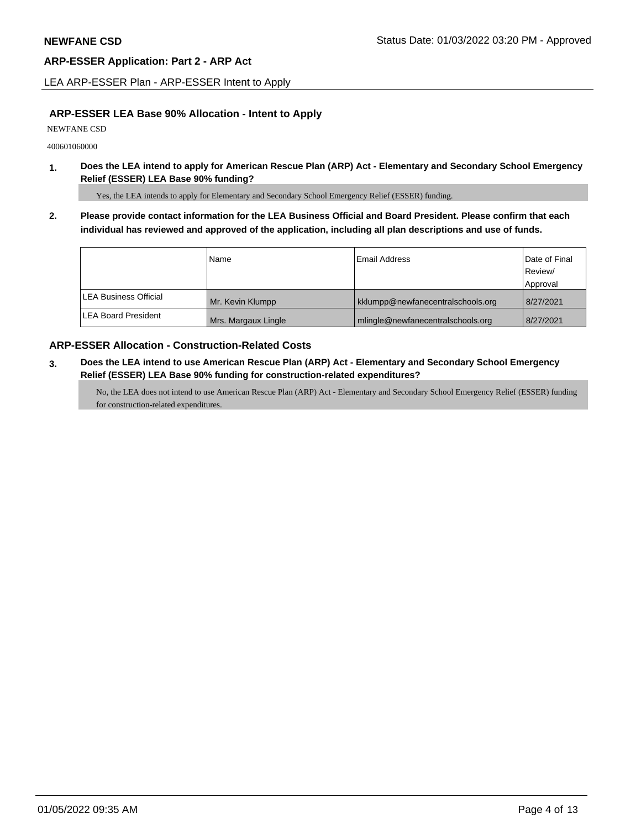LEA ARP-ESSER Plan - ARP-ESSER Intent to Apply

## **ARP-ESSER LEA Base 90% Allocation - Intent to Apply**

NEWFANE CSD

400601060000

**1. Does the LEA intend to apply for American Rescue Plan (ARP) Act - Elementary and Secondary School Emergency Relief (ESSER) LEA Base 90% funding?**

Yes, the LEA intends to apply for Elementary and Secondary School Emergency Relief (ESSER) funding.

**2. Please provide contact information for the LEA Business Official and Board President. Please confirm that each individual has reviewed and approved of the application, including all plan descriptions and use of funds.** 

|                               | Name                | Email Address                     | Date of Final |
|-------------------------------|---------------------|-----------------------------------|---------------|
|                               |                     |                                   | Review/       |
|                               |                     |                                   | Approval      |
| <b>ILEA Business Official</b> | Mr. Kevin Klumpp    | kklumpp@newfanecentralschools.org | 8/27/2021     |
| <b>ILEA Board President</b>   | Mrs. Margaux Lingle | mlingle@newfanecentralschools.org | 8/27/2021     |

# **ARP-ESSER Allocation - Construction-Related Costs**

**3. Does the LEA intend to use American Rescue Plan (ARP) Act - Elementary and Secondary School Emergency Relief (ESSER) LEA Base 90% funding for construction-related expenditures?**

No, the LEA does not intend to use American Rescue Plan (ARP) Act - Elementary and Secondary School Emergency Relief (ESSER) funding for construction-related expenditures.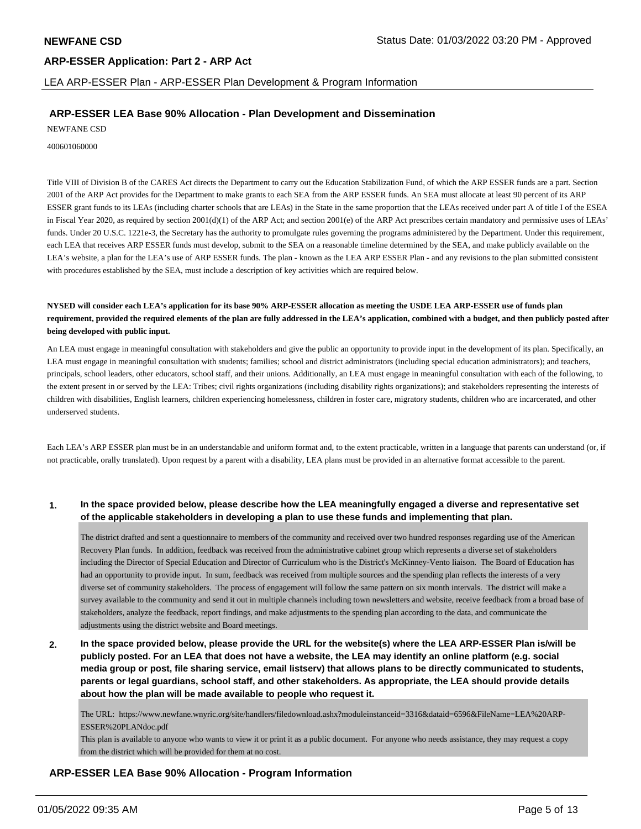LEA ARP-ESSER Plan - ARP-ESSER Plan Development & Program Information

# **ARP-ESSER LEA Base 90% Allocation - Plan Development and Dissemination**

NEWFANE CSD

400601060000

Title VIII of Division B of the CARES Act directs the Department to carry out the Education Stabilization Fund, of which the ARP ESSER funds are a part. Section 2001 of the ARP Act provides for the Department to make grants to each SEA from the ARP ESSER funds. An SEA must allocate at least 90 percent of its ARP ESSER grant funds to its LEAs (including charter schools that are LEAs) in the State in the same proportion that the LEAs received under part A of title I of the ESEA in Fiscal Year 2020, as required by section 2001(d)(1) of the ARP Act; and section 2001(e) of the ARP Act prescribes certain mandatory and permissive uses of LEAs' funds. Under 20 U.S.C. 1221e-3, the Secretary has the authority to promulgate rules governing the programs administered by the Department. Under this requirement, each LEA that receives ARP ESSER funds must develop, submit to the SEA on a reasonable timeline determined by the SEA, and make publicly available on the LEA's website, a plan for the LEA's use of ARP ESSER funds. The plan - known as the LEA ARP ESSER Plan - and any revisions to the plan submitted consistent with procedures established by the SEA, must include a description of key activities which are required below.

**NYSED will consider each LEA's application for its base 90% ARP-ESSER allocation as meeting the USDE LEA ARP-ESSER use of funds plan requirement, provided the required elements of the plan are fully addressed in the LEA's application, combined with a budget, and then publicly posted after being developed with public input.**

An LEA must engage in meaningful consultation with stakeholders and give the public an opportunity to provide input in the development of its plan. Specifically, an LEA must engage in meaningful consultation with students; families; school and district administrators (including special education administrators); and teachers, principals, school leaders, other educators, school staff, and their unions. Additionally, an LEA must engage in meaningful consultation with each of the following, to the extent present in or served by the LEA: Tribes; civil rights organizations (including disability rights organizations); and stakeholders representing the interests of children with disabilities, English learners, children experiencing homelessness, children in foster care, migratory students, children who are incarcerated, and other underserved students.

Each LEA's ARP ESSER plan must be in an understandable and uniform format and, to the extent practicable, written in a language that parents can understand (or, if not practicable, orally translated). Upon request by a parent with a disability, LEA plans must be provided in an alternative format accessible to the parent.

#### **1. In the space provided below, please describe how the LEA meaningfully engaged a diverse and representative set of the applicable stakeholders in developing a plan to use these funds and implementing that plan.**

The district drafted and sent a questionnaire to members of the community and received over two hundred responses regarding use of the American Recovery Plan funds. In addition, feedback was received from the administrative cabinet group which represents a diverse set of stakeholders including the Director of Special Education and Director of Curriculum who is the District's McKinney-Vento liaison. The Board of Education has had an opportunity to provide input. In sum, feedback was received from multiple sources and the spending plan reflects the interests of a very diverse set of community stakeholders. The process of engagement will follow the same pattern on six month intervals. The district will make a survey available to the community and send it out in multiple channels including town newsletters and website, receive feedback from a broad base of stakeholders, analyze the feedback, report findings, and make adjustments to the spending plan according to the data, and communicate the adjustments using the district website and Board meetings.

**2. In the space provided below, please provide the URL for the website(s) where the LEA ARP-ESSER Plan is/will be publicly posted. For an LEA that does not have a website, the LEA may identify an online platform (e.g. social media group or post, file sharing service, email listserv) that allows plans to be directly communicated to students, parents or legal guardians, school staff, and other stakeholders. As appropriate, the LEA should provide details about how the plan will be made available to people who request it.**

The URL: https://www.newfane.wnyric.org/site/handlers/filedownload.ashx?moduleinstanceid=3316&dataid=6596&FileName=LEA%20ARP-ESSER%20PLANdoc.pdf

This plan is available to anyone who wants to view it or print it as a public document. For anyone who needs assistance, they may request a copy from the district which will be provided for them at no cost.

# **ARP-ESSER LEA Base 90% Allocation - Program Information**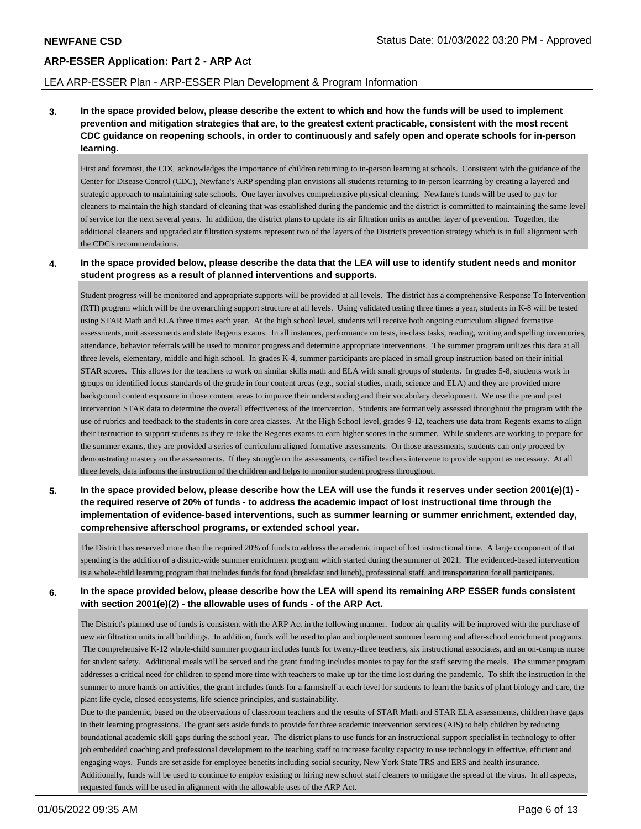#### LEA ARP-ESSER Plan - ARP-ESSER Plan Development & Program Information

**3. In the space provided below, please describe the extent to which and how the funds will be used to implement prevention and mitigation strategies that are, to the greatest extent practicable, consistent with the most recent CDC guidance on reopening schools, in order to continuously and safely open and operate schools for in-person learning.**

First and foremost, the CDC acknowledges the importance of children returning to in-person learning at schools. Consistent with the guidance of the Center for Disease Control (CDC), Newfane's ARP spending plan envisions all students returning to in-person learrning by creating a layered and strategic approach to maintaining safe schools. One layer involves comprehensive physical cleaning. Newfane's funds will be used to pay for cleaners to maintain the high standard of cleaning that was established during the pandemic and the district is committed to maintaining the same level of service for the next several years. In addition, the district plans to update its air filtration units as another layer of prevention. Together, the additional cleaners and upgraded air filtration systems represent two of the layers of the District's prevention strategy which is in full alignment with the CDC's recommendations.

#### **4. In the space provided below, please describe the data that the LEA will use to identify student needs and monitor student progress as a result of planned interventions and supports.**

Student progress will be monitored and appropriate supports will be provided at all levels. The district has a comprehensive Response To Intervention (RTI) program which will be the overarching support structure at all levels. Using validated testing three times a year, students in K-8 will be tested using STAR Math and ELA three times each year. At the high school level, students will receive both ongoing curriculum aligned formative assessments, unit assessments and state Regents exams. In all instances, performance on tests, in-class tasks, reading, writing and spelling inventories, attendance, behavior referrals will be used to monitor progress and determine appropriate interventions. The summer program utilizes this data at all three levels, elementary, middle and high school. In grades K-4, summer participants are placed in small group instruction based on their initial STAR scores. This allows for the teachers to work on similar skills math and ELA with small groups of students. In grades 5-8, students work in groups on identified focus standards of the grade in four content areas (e.g., social studies, math, science and ELA) and they are provided more background content exposure in those content areas to improve their understanding and their vocabulary development. We use the pre and post intervention STAR data to determine the overall effectiveness of the intervention. Students are formatively assessed throughout the program with the use of rubrics and feedback to the students in core area classes. At the High School level, grades 9-12, teachers use data from Regents exams to align their instruction to support students as they re-take the Regents exams to earn higher scores in the summer. While students are working to prepare for the summer exams, they are provided a series of curriculum aligned formative assessments. On those assessments, students can only proceed by demonstrating mastery on the assessments. If they struggle on the assessments, certified teachers intervene to provide support as necessary. At all three levels, data informs the instruction of the children and helps to monitor student progress throughout.

**5. In the space provided below, please describe how the LEA will use the funds it reserves under section 2001(e)(1) the required reserve of 20% of funds - to address the academic impact of lost instructional time through the implementation of evidence-based interventions, such as summer learning or summer enrichment, extended day, comprehensive afterschool programs, or extended school year.**

The District has reserved more than the required 20% of funds to address the academic impact of lost instructional time. A large component of that spending is the addition of a district-wide summer enrichment program which started during the summer of 2021. The evidenced-based intervention is a whole-child learning program that includes funds for food (breakfast and lunch), professional staff, and transportation for all participants.

## **6. In the space provided below, please describe how the LEA will spend its remaining ARP ESSER funds consistent with section 2001(e)(2) - the allowable uses of funds - of the ARP Act.**

The District's planned use of funds is consistent with the ARP Act in the following manner. Indoor air quality will be improved with the purchase of new air filtration units in all buildings. In addition, funds will be used to plan and implement summer learning and after-school enrichment programs. The comprehensive K-12 whole-child summer program includes funds for twenty-three teachers, six instructional associates, and an on-campus nurse for student safety. Additional meals will be served and the grant funding includes monies to pay for the staff serving the meals. The summer program addresses a critical need for children to spend more time with teachers to make up for the time lost during the pandemic. To shift the instruction in the summer to more hands on activities, the grant includes funds for a farmshelf at each level for students to learn the basics of plant biology and care, the plant life cycle, closed ecosystems, life science principles, and sustainability.

Due to the pandemic, based on the observations of classroom teachers and the results of STAR Math and STAR ELA assessments, children have gaps in their learning progressions. The grant sets aside funds to provide for three academic intervention services (AIS) to help children by reducing foundational academic skill gaps during the school year. The district plans to use funds for an instructional support specialist in technology to offer job embedded coaching and professional development to the teaching staff to increase faculty capacity to use technology in effective, efficient and engaging ways. Funds are set aside for employee benefits including social security, New York State TRS and ERS and health insurance. Additionally, funds will be used to continue to employ existing or hiring new school staff cleaners to mitigate the spread of the virus. In all aspects, requested funds will be used in alignment with the allowable uses of the ARP Act.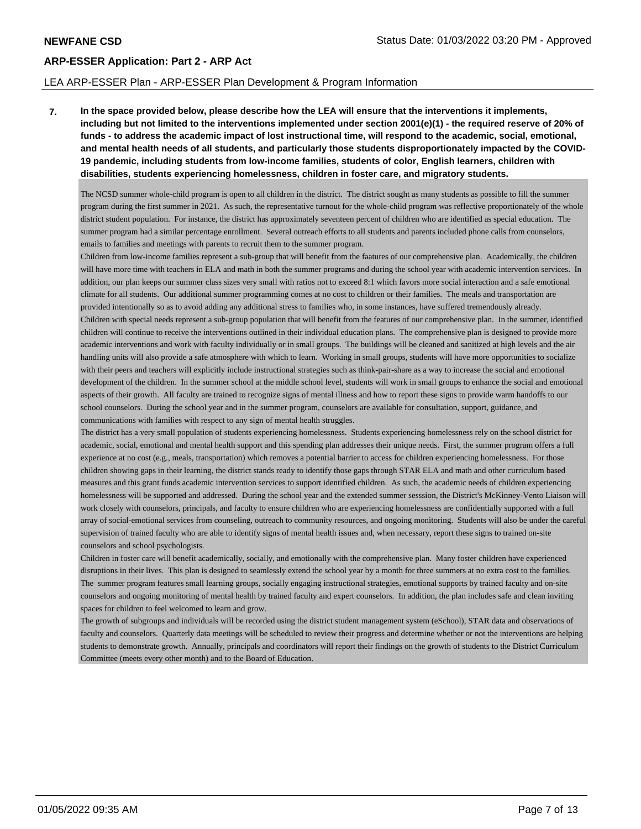#### LEA ARP-ESSER Plan - ARP-ESSER Plan Development & Program Information

**7. In the space provided below, please describe how the LEA will ensure that the interventions it implements, including but not limited to the interventions implemented under section 2001(e)(1) - the required reserve of 20% of funds - to address the academic impact of lost instructional time, will respond to the academic, social, emotional, and mental health needs of all students, and particularly those students disproportionately impacted by the COVID-19 pandemic, including students from low-income families, students of color, English learners, children with disabilities, students experiencing homelessness, children in foster care, and migratory students.**

The NCSD summer whole-child program is open to all children in the district. The district sought as many students as possible to fill the summer program during the first summer in 2021. As such, the representative turnout for the whole-child program was reflective proportionately of the whole district student population. For instance, the district has approximately seventeen percent of children who are identified as special education. The summer program had a similar percentage enrollment. Several outreach efforts to all students and parents included phone calls from counselors, emails to families and meetings with parents to recruit them to the summer program.

Children from low-income families represent a sub-group that will benefit from the faatures of our comprehensive plan. Academically, the children will have more time with teachers in ELA and math in both the summer programs and during the school year with academic intervention services. In addition, our plan keeps our summer class sizes very small with ratios not to exceed 8:1 which favors more social interaction and a safe emotional climate for all students. Our additional summer programming comes at no cost to children or their families. The meals and transportation are provided intentionally so as to avoid adding any additional stress to families who, in some instances, have suffered tremendously already. Children with special needs represent a sub-group population that will benefit from the features of our comprehensive plan. In the summer, identified children will continue to receive the interventions outlined in their individual education plans. The comprehensive plan is designed to provide more academic interventions and work with faculty individually or in small groups. The buildings will be cleaned and sanitized at high levels and the air handling units will also provide a safe atmosphere with which to learn. Working in small groups, students will have more opportunities to socialize with their peers and teachers will explicitly include instructional strategies such as think-pair-share as a way to increase the social and emotional development of the children. In the summer school at the middle school level, students will work in small groups to enhance the social and emotional aspects of their growth. All faculty are trained to recognize signs of mental illness and how to report these signs to provide warm handoffs to our school counselors. During the school year and in the summer program, counselors are available for consultation, support, guidance, and communications with families with respect to any sign of mental health struggles.

The district has a very small population of students experiencing homelessness. Students experiencing homelessness rely on the school district for academic, social, emotional and mental health support and this spending plan addresses their unique needs. First, the summer program offers a full experience at no cost (e.g., meals, transportation) which removes a potential barrier to access for children experiencing homelessness. For those children showing gaps in their learning, the district stands ready to identify those gaps through STAR ELA and math and other curriculum based measures and this grant funds academic intervention services to support identified children. As such, the academic needs of children experiencing homelessness will be supported and addressed. During the school year and the extended summer sesssion, the District's McKinney-Vento Liaison will work closely with counselors, principals, and faculty to ensure children who are experiencing homelessness are confidentially supported with a full array of social-emotional services from counseling, outreach to community resources, and ongoing monitoring. Students will also be under the careful supervision of trained faculty who are able to identify signs of mental health issues and, when necessary, report these signs to trained on-site counselors and school psychologists.

Children in foster care will benefit academically, socially, and emotionally with the comprehensive plan. Many foster children have experienced disruptions in their lives. This plan is designed to seamlessly extend the school year by a month for three summers at no extra cost to the families. The summer program features small learning groups, socially engaging instructional strategies, emotional supports by trained faculty and on-site counselors and ongoing monitoring of mental health by trained faculty and expert counselors. In addition, the plan includes safe and clean inviting spaces for children to feel welcomed to learn and grow.

The growth of subgroups and individuals will be recorded using the district student management system (eSchool), STAR data and observations of faculty and counselors. Quarterly data meetings will be scheduled to review their progress and determine whether or not the interventions are helping students to demonstrate growth. Annually, principals and coordinators will report their findings on the growth of students to the District Curriculum Committee (meets every other month) and to the Board of Education.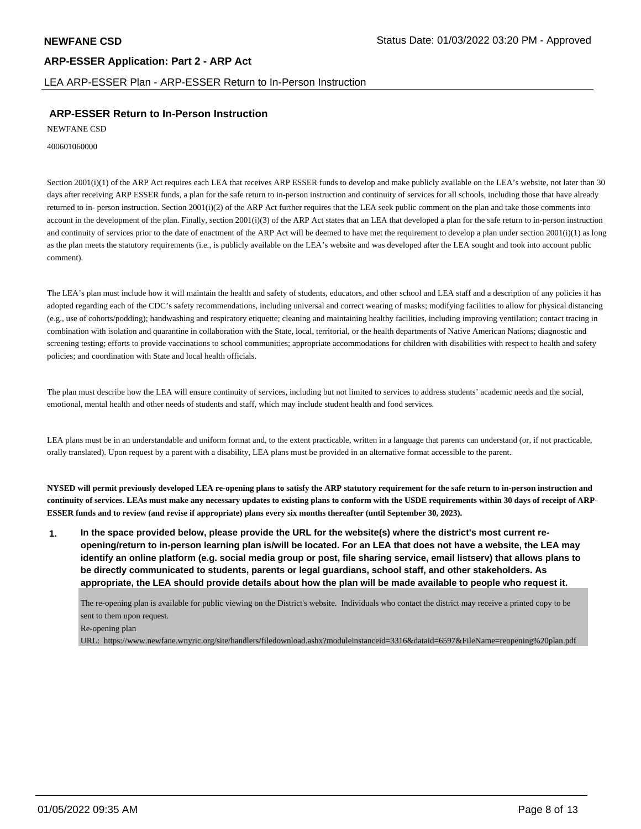LEA ARP-ESSER Plan - ARP-ESSER Return to In-Person Instruction

# **ARP-ESSER Return to In-Person Instruction**

NEWFANE CSD

400601060000

Section 2001(i)(1) of the ARP Act requires each LEA that receives ARP ESSER funds to develop and make publicly available on the LEA's website, not later than 30 days after receiving ARP ESSER funds, a plan for the safe return to in-person instruction and continuity of services for all schools, including those that have already returned to in- person instruction. Section 2001(i)(2) of the ARP Act further requires that the LEA seek public comment on the plan and take those comments into account in the development of the plan. Finally, section 2001(i)(3) of the ARP Act states that an LEA that developed a plan for the safe return to in-person instruction and continuity of services prior to the date of enactment of the ARP Act will be deemed to have met the requirement to develop a plan under section  $2001(i)(1)$  as long as the plan meets the statutory requirements (i.e., is publicly available on the LEA's website and was developed after the LEA sought and took into account public comment).

The LEA's plan must include how it will maintain the health and safety of students, educators, and other school and LEA staff and a description of any policies it has adopted regarding each of the CDC's safety recommendations, including universal and correct wearing of masks; modifying facilities to allow for physical distancing (e.g., use of cohorts/podding); handwashing and respiratory etiquette; cleaning and maintaining healthy facilities, including improving ventilation; contact tracing in combination with isolation and quarantine in collaboration with the State, local, territorial, or the health departments of Native American Nations; diagnostic and screening testing; efforts to provide vaccinations to school communities; appropriate accommodations for children with disabilities with respect to health and safety policies; and coordination with State and local health officials.

The plan must describe how the LEA will ensure continuity of services, including but not limited to services to address students' academic needs and the social, emotional, mental health and other needs of students and staff, which may include student health and food services.

LEA plans must be in an understandable and uniform format and, to the extent practicable, written in a language that parents can understand (or, if not practicable, orally translated). Upon request by a parent with a disability, LEA plans must be provided in an alternative format accessible to the parent.

**NYSED will permit previously developed LEA re-opening plans to satisfy the ARP statutory requirement for the safe return to in-person instruction and continuity of services. LEAs must make any necessary updates to existing plans to conform with the USDE requirements within 30 days of receipt of ARP-ESSER funds and to review (and revise if appropriate) plans every six months thereafter (until September 30, 2023).**

**1. In the space provided below, please provide the URL for the website(s) where the district's most current reopening/return to in-person learning plan is/will be located. For an LEA that does not have a website, the LEA may identify an online platform (e.g. social media group or post, file sharing service, email listserv) that allows plans to be directly communicated to students, parents or legal guardians, school staff, and other stakeholders. As appropriate, the LEA should provide details about how the plan will be made available to people who request it.**

The re-opening plan is available for public viewing on the District's website. Individuals who contact the district may receive a printed copy to be sent to them upon request.

#### Re-opening plan

URL: https://www.newfane.wnyric.org/site/handlers/filedownload.ashx?moduleinstanceid=3316&dataid=6597&FileName=reopening%20plan.pdf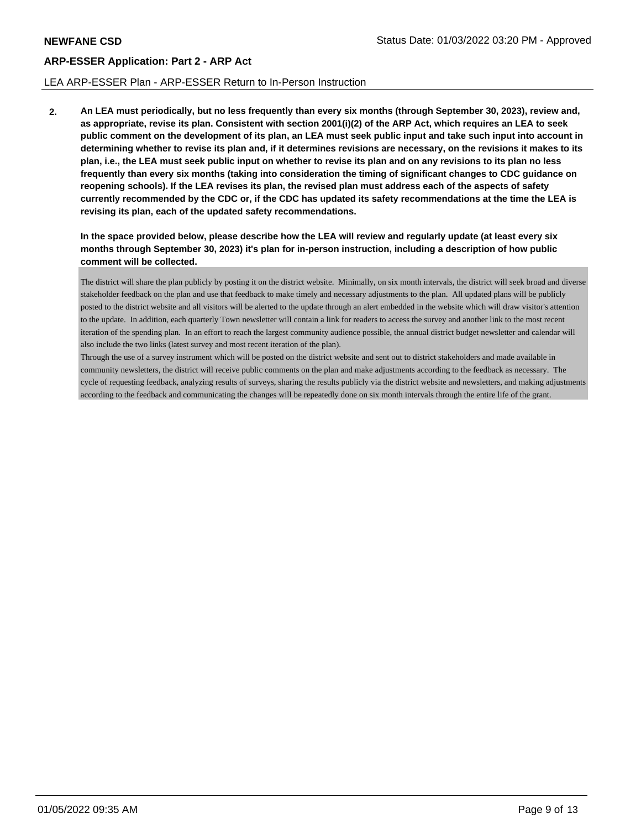#### LEA ARP-ESSER Plan - ARP-ESSER Return to In-Person Instruction

**2. An LEA must periodically, but no less frequently than every six months (through September 30, 2023), review and, as appropriate, revise its plan. Consistent with section 2001(i)(2) of the ARP Act, which requires an LEA to seek public comment on the development of its plan, an LEA must seek public input and take such input into account in determining whether to revise its plan and, if it determines revisions are necessary, on the revisions it makes to its plan, i.e., the LEA must seek public input on whether to revise its plan and on any revisions to its plan no less frequently than every six months (taking into consideration the timing of significant changes to CDC guidance on reopening schools). If the LEA revises its plan, the revised plan must address each of the aspects of safety currently recommended by the CDC or, if the CDC has updated its safety recommendations at the time the LEA is revising its plan, each of the updated safety recommendations.**

**In the space provided below, please describe how the LEA will review and regularly update (at least every six months through September 30, 2023) it's plan for in-person instruction, including a description of how public comment will be collected.**

The district will share the plan publicly by posting it on the district website. Minimally, on six month intervals, the district will seek broad and diverse stakeholder feedback on the plan and use that feedback to make timely and necessary adjustments to the plan. All updated plans will be publicly posted to the district website and all visitors will be alerted to the update through an alert embedded in the website which will draw visitor's attention to the update. In addition, each quarterly Town newsletter will contain a link for readers to access the survey and another link to the most recent iteration of the spending plan. In an effort to reach the largest community audience possible, the annual district budget newsletter and calendar will also include the two links (latest survey and most recent iteration of the plan).

Through the use of a survey instrument which will be posted on the district website and sent out to district stakeholders and made available in community newsletters, the district will receive public comments on the plan and make adjustments according to the feedback as necessary. The cycle of requesting feedback, analyzing results of surveys, sharing the results publicly via the district website and newsletters, and making adjustments according to the feedback and communicating the changes will be repeatedly done on six month intervals through the entire life of the grant.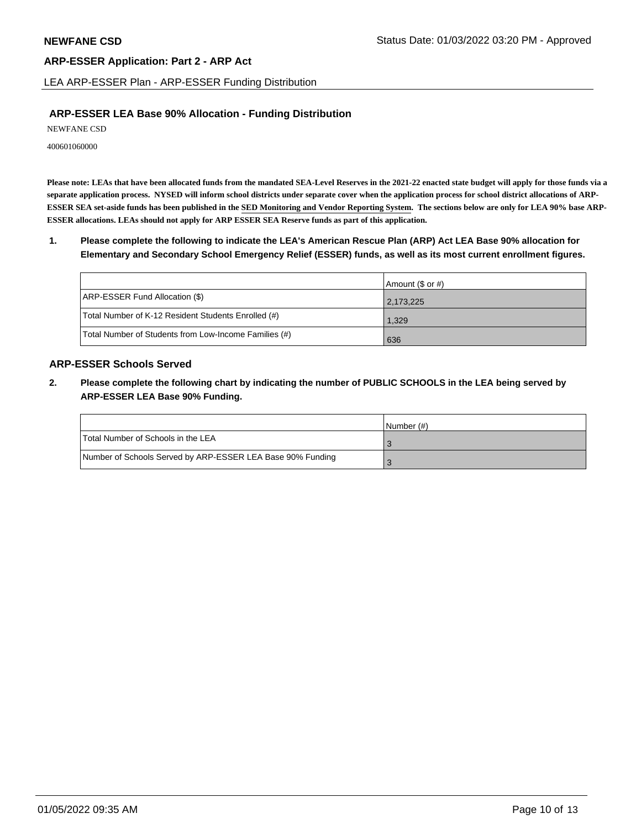LEA ARP-ESSER Plan - ARP-ESSER Funding Distribution

# **ARP-ESSER LEA Base 90% Allocation - Funding Distribution**

NEWFANE CSD

400601060000

**Please note: LEAs that have been allocated funds from the mandated SEA-Level Reserves in the 2021-22 enacted state budget will apply for those funds via a separate application process. NYSED will inform school districts under separate cover when the application process for school district allocations of ARP-ESSER SEA set-aside funds has been published in the SED Monitoring and Vendor Reporting System. The sections below are only for LEA 90% base ARP-ESSER allocations. LEAs should not apply for ARP ESSER SEA Reserve funds as part of this application.**

**1. Please complete the following to indicate the LEA's American Rescue Plan (ARP) Act LEA Base 90% allocation for Elementary and Secondary School Emergency Relief (ESSER) funds, as well as its most current enrollment figures.**

|                                                       | Amount (\$ or #) |
|-------------------------------------------------------|------------------|
| ARP-ESSER Fund Allocation (\$)                        | 2,173,225        |
| Total Number of K-12 Resident Students Enrolled (#)   | 1,329            |
| Total Number of Students from Low-Income Families (#) | 636              |

# **ARP-ESSER Schools Served**

**2. Please complete the following chart by indicating the number of PUBLIC SCHOOLS in the LEA being served by ARP-ESSER LEA Base 90% Funding.**

|                                                            | INumber (#) |
|------------------------------------------------------------|-------------|
| Total Number of Schools in the LEA                         |             |
| Number of Schools Served by ARP-ESSER LEA Base 90% Funding |             |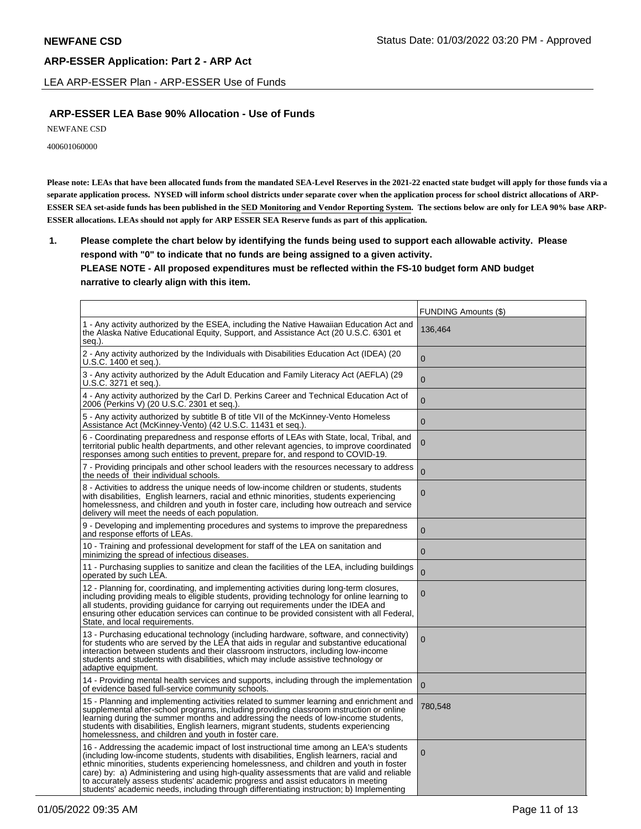LEA ARP-ESSER Plan - ARP-ESSER Use of Funds

# **ARP-ESSER LEA Base 90% Allocation - Use of Funds**

NEWFANE CSD

400601060000

**Please note: LEAs that have been allocated funds from the mandated SEA-Level Reserves in the 2021-22 enacted state budget will apply for those funds via a separate application process. NYSED will inform school districts under separate cover when the application process for school district allocations of ARP-ESSER SEA set-aside funds has been published in the SED Monitoring and Vendor Reporting System. The sections below are only for LEA 90% base ARP-ESSER allocations. LEAs should not apply for ARP ESSER SEA Reserve funds as part of this application.**

**1. Please complete the chart below by identifying the funds being used to support each allowable activity. Please respond with "0" to indicate that no funds are being assigned to a given activity. PLEASE NOTE - All proposed expenditures must be reflected within the FS-10 budget form AND budget narrative to clearly align with this item.**

|                                                                                                                                                                                                                                                                                                                                                                                                                                                                                                                                                            | <b>FUNDING Amounts (\$)</b> |
|------------------------------------------------------------------------------------------------------------------------------------------------------------------------------------------------------------------------------------------------------------------------------------------------------------------------------------------------------------------------------------------------------------------------------------------------------------------------------------------------------------------------------------------------------------|-----------------------------|
| 1 - Any activity authorized by the ESEA, including the Native Hawaiian Education Act and<br>the Alaska Native Educational Equity, Support, and Assistance Act (20 U.S.C. 6301 et<br>seq.).                                                                                                                                                                                                                                                                                                                                                                 | 136,464                     |
| 2 - Any activity authorized by the Individuals with Disabilities Education Act (IDEA) (20<br>U.S.C. 1400 et seq.).                                                                                                                                                                                                                                                                                                                                                                                                                                         | $\Omega$                    |
| 3 - Any activity authorized by the Adult Education and Family Literacy Act (AEFLA) (29<br>U.S.C. 3271 et seq.).                                                                                                                                                                                                                                                                                                                                                                                                                                            | $\mathbf 0$                 |
| 4 - Any activity authorized by the Carl D. Perkins Career and Technical Education Act of<br>2006 (Perkins V) (20 U.S.C. 2301 et seq.).                                                                                                                                                                                                                                                                                                                                                                                                                     | $\mathbf 0$                 |
| 5 - Any activity authorized by subtitle B of title VII of the McKinney-Vento Homeless<br>Assistance Act (McKinney-Vento) (42 U.S.C. 11431 et seg.).                                                                                                                                                                                                                                                                                                                                                                                                        | $\overline{0}$              |
| 6 - Coordinating preparedness and response efforts of LEAs with State, local, Tribal, and<br>territorial public health departments, and other relevant agencies, to improve coordinated<br>responses among such entities to prevent, prepare for, and respond to COVID-19.                                                                                                                                                                                                                                                                                 | $\mathbf 0$                 |
| 7 - Providing principals and other school leaders with the resources necessary to address<br>the needs of their individual schools.                                                                                                                                                                                                                                                                                                                                                                                                                        | $\overline{0}$              |
| 8 - Activities to address the unique needs of low-income children or students, students<br>with disabilities, English learners, racial and ethnic minorities, students experiencing<br>homelessness, and children and youth in foster care, including how outreach and service<br>delivery will meet the needs of each population.                                                                                                                                                                                                                         | $\overline{0}$              |
| 9 - Developing and implementing procedures and systems to improve the preparedness<br>and response efforts of LEAs.                                                                                                                                                                                                                                                                                                                                                                                                                                        | $\overline{0}$              |
| 10 - Training and professional development for staff of the LEA on sanitation and<br>minimizing the spread of infectious diseases.                                                                                                                                                                                                                                                                                                                                                                                                                         | $\mathbf 0$                 |
| 11 - Purchasing supplies to sanitize and clean the facilities of the LEA, including buildings<br>operated by such LEA.                                                                                                                                                                                                                                                                                                                                                                                                                                     | $\overline{0}$              |
| 12 - Planning for, coordinating, and implementing activities during long-term closures,<br>including providing meals to eligible students, providing technology for online learning to<br>all students, providing guidance for carrying out requirements under the IDEA and<br>ensuring other education services can continue to be provided consistent with all Federal,<br>State, and local requirements.                                                                                                                                                | $\mathbf 0$                 |
| 13 - Purchasing educational technology (including hardware, software, and connectivity)<br>for students who are served by the LEA that aids in regular and substantive educational<br>interaction between students and their classroom instructors, including low-income<br>students and students with disabilities, which may include assistive technology or<br>adaptive equipment.                                                                                                                                                                      | $\mathbf 0$                 |
| 14 - Providing mental health services and supports, including through the implementation<br>of evidence based full-service community schools.                                                                                                                                                                                                                                                                                                                                                                                                              | $\mathbf{0}$                |
| 15 - Planning and implementing activities related to summer learning and enrichment and<br>supplemental after-school programs, including providing classroom instruction or online<br>learning during the summer months and addressing the needs of low-income students,<br>students with disabilities, English learners, migrant students, students experiencing<br>homelessness, and children and youth in foster care.                                                                                                                                  | 780,548                     |
| 16 - Addressing the academic impact of lost instructional time among an LEA's students<br>(including low-income students, students with disabilities, English learners, racial and<br>ethnic minorities, students experiencing homelessness, and children and youth in foster<br>care) by: a) Administering and using high-quality assessments that are valid and reliable<br>to accurately assess students' academic progress and assist educators in meeting<br>students' academic needs, including through differentiating instruction; b) Implementing | $\Omega$                    |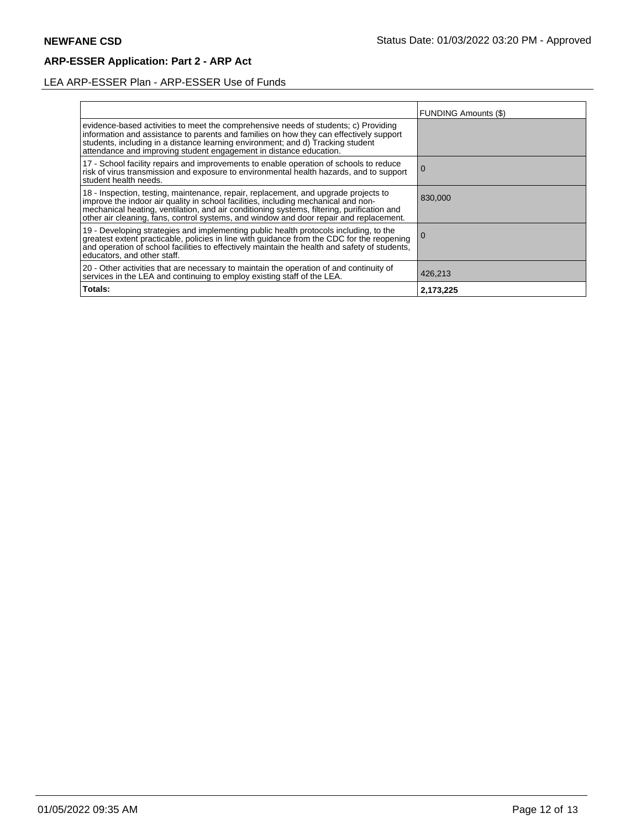# LEA ARP-ESSER Plan - ARP-ESSER Use of Funds

|                                                                                                                                                                                                                                                                                                                                                                | FUNDING Amounts (\$) |
|----------------------------------------------------------------------------------------------------------------------------------------------------------------------------------------------------------------------------------------------------------------------------------------------------------------------------------------------------------------|----------------------|
| evidence-based activities to meet the comprehensive needs of students; c) Providing<br>information and assistance to parents and families on how they can effectively support<br>students, including in a distance learning environment; and d) Tracking student<br>attendance and improving student engagement in distance education.                         |                      |
| 17 - School facility repairs and improvements to enable operation of schools to reduce<br>risk of virus transmission and exposure to environmental health hazards, and to support<br>student health needs.                                                                                                                                                     | l O                  |
| 18 - Inspection, testing, maintenance, repair, replacement, and upgrade projects to improve the indoor air quality in school facilities, including mechanical and non-<br>mechanical heating, ventilation, and air conditioning systems, filtering, purification and<br>other air cleaning, fans, control systems, and window and door repair and replacement. | 830,000              |
| 19 - Developing strategies and implementing public health protocols including, to the<br>greatest extent practicable, policies in line with guidance from the CDC for the reopening<br>and operation of school facilities to effectively maintain the health and safety of students,<br>educators, and other staff.                                            |                      |
| 20 - Other activities that are necessary to maintain the operation of and continuity of<br>services in the LEA and continuing to employ existing staff of the LEA.                                                                                                                                                                                             | 426,213              |
| Totals:                                                                                                                                                                                                                                                                                                                                                        | 2,173,225            |